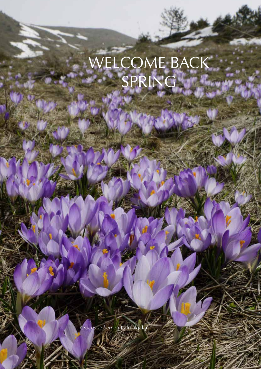## WELCOME BACK SPRING

Crocus sieberi on Kalmakjalan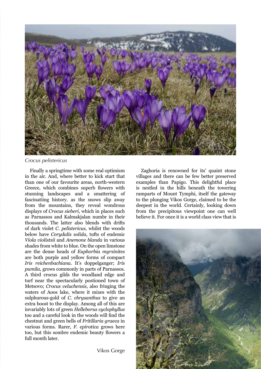

## *Crocus pelistericus*

Finally a springtime with some real optimism in the air. And, where better to kick start that than one of our favourite areas, north-western Greece, which combines superb flowers with stunning landscapes and a smattering of fascinatiing history. as the snows slip away from the mountains, they reveal wondrous displays of *Crocus sieberi*, which in places such as Parnassos and Kalmakjalan numbr in their thousands. The latter also blends with drifts of dark violet *C. pelistericus*, whilst the woods below have *Corydalis solida*, tufts of endemic *Viola violistsii* and *Anemone blanda* in various shades from white to blue. On the open limstone are the dense heads of *Euphorbia myrsinites* are both purple and yellow forms of compact *Iris reichenbachiana*. It's doppelganger; *Iris pumila*, grows commonly in parts of Parnassos. A third crocus gilds the woodland edge and turf near the spectacularly postioned town of Metsovo; *Crocus veluchensis*, also fringing the waters of Aoos lake, where it mixes with the sulphurous-gold of *C. chrysanthus* to give an extra boost to the display. Among all of this are invariably lots of green *Helleborus cyclophyllus* too and a careful look in the woods will find the chestnut and green bells of *Fritillaria graeca* in various forms. Rarer, *F. epirotica* grows here too, but this sombre endemic beauty flowers a full month later.

Zaghoria is renowned for its' quaint stone villages and there can be few better preserved examples than Papigo. This delightful place is nestled in the hills beneath the towering ramparts of Mount Tymphi, itself the gateway to the plunging Vikos Gorge, claimed to be the deepest in the world. Certainly, looking down from the precipitous viewpoint one can well believe it. For once it is a world class view that is



Vikos Gorge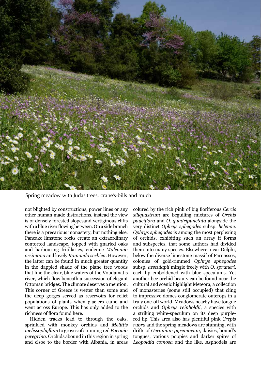

Spring meadow with Judas trees, crane's-bills and much

not blighted by constructions, power lines or any other human made distractions. instead the view is of densely forested slopesand vertiginous cliffs with a blue river flowing between. On a side branch there is a precarious monastery, but nothing else. Pancake limstone rocks create an extraordinary contorted landscape, topped with gnarled oaks and harbouring fritillaries, endemic *Malcomia orsiniana* and lovely *Ramonda serbica*. However, the latter can be found in much greater quantity in the dappled shade of the plane tree woods that line the clear, blue waters of the Voudamatis river, which flow beneath a succession of elegant Ottoman bridges. The climate deserves a mention. This corner of Greece is wetter than some and the deep gorges served as reservoirs for relict populations of plants when glaciers came and went across Europe. This has only added to the richness of flora found here.

Hidden tracks lead to through the oaks, sprinkled with monkey orchids and *Melittis melissophyllum* to groves of stunning red *Paeonia peregrina*. Orchids abound in this region in spring and clsoe to the border with Albania, in areas

colured by the rich pink of big floriferous *Cercis siliquastrum* are beguiling mixtures of *Orchis pauciflora* and *O. quadripunctata* alongside the very distinct *Ophrys sphegodes* subsp. *helenae*. *Ophrys sphegodes* is among the most perplexing of orchids, exhibiting such an array if forms and subspecies, that some authors had divided them into many species. Elsewhere, near Delphi, below the diverse limestone massif of Parnassos, colonies of gold-rimmed *Ophrys sphegodes* subsp. *aesculapii* mingle freely with *O. spruneri*, each lip emboldened with blue speculums. Yet another bee orchid beauty can be found near the cultural and scenic highlight Meteora, a collection of monasteries (some still occupied) that cling to impressive domes conglomerate outcrops in a truly one-off world. Meadows nearby have tongue orchids and *Ophrys reinholdii*, a species with a striking white-speculum on its deep purplered lip. This area also has plentiful pink *Crepis rubra* and the spring meadows are stunning, with drifts of *Geranium pyreniacum*, daisies, hound's tongues, various poppies and darker spires of *Leopoldia comosa* and the like. Asphodels are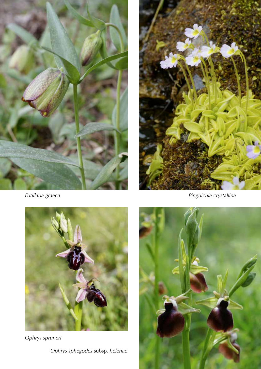

*Fritillaria graeca*



*Pinguicula crystallina*



*Ophrys spruneri Ophrys sphegodes* subsp*. helenae*